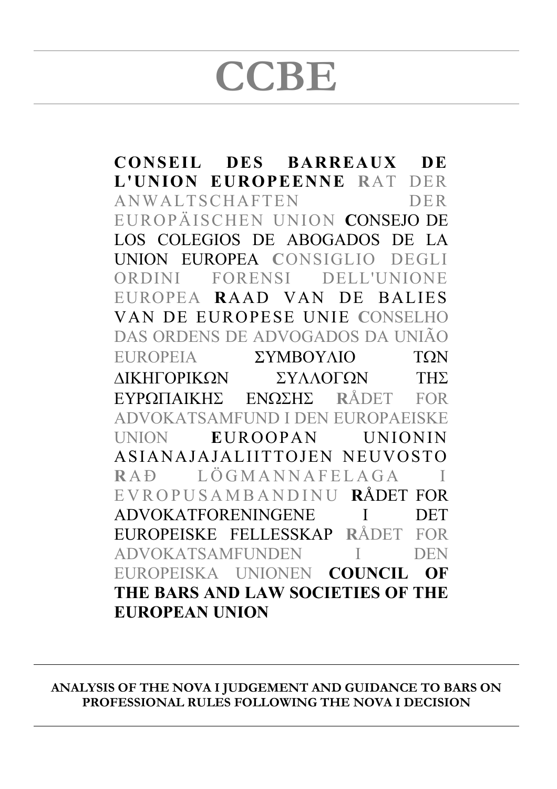# **CCBE**

**CONSEIL DES BARREAUX DE L'UNION EUROPEENNE R**AT DER ANWALTSCHAFTEN DER EUROPÄISCHEN UNION **C**ONSEJO DE LOS COLEGIOS DE ABOGADOS DE LA UNION EUROPEA **C**ONSIGLIO DEGLI ORDINI FORENSI DELL'UNIONE EUROPEA **R**AAD VAN DE BALIES VAN DE EUROPESE UNIE **C**ONSELHO DAS ORDENS DE ADVOGADOS DA UNIÃO **EUROPEIA** ΣΥΜΒΟΥΛΙΟ ΤΩΝ ΛΙΚΗΓΟΡΙΚΩΝ ΣΥΛΛΟΓΩΝ ΤΗΣ **R**ÅDET FOR ADVOKATSAMFUND I DEN EUROPAEISKE UNION **E**UROOPAN UNIONIN ASIANAJAJALIITTOJEN NEUVOSTO RAÐ LÖGMANNAFELAGA EVROPUSAMBANDINU **R**ÅDET FOR ADVOKATFORENINGENE I DET EUROPEISKE FELLESSKAP **R**ÅDET FOR ADVOKATSAMFUNDEN I DEN EUROPEISKA UNIONEN **COUNCIL OF THE BARS AND LAW SOCIETIES OF THE EUROPEAN UNION**

**ANALYSIS OF THE NOVA I JUDGEMENT AND GUIDANCE TO BARS ON PROFESSIONAL RULES FOLLOWING THE NOVA I DECISION**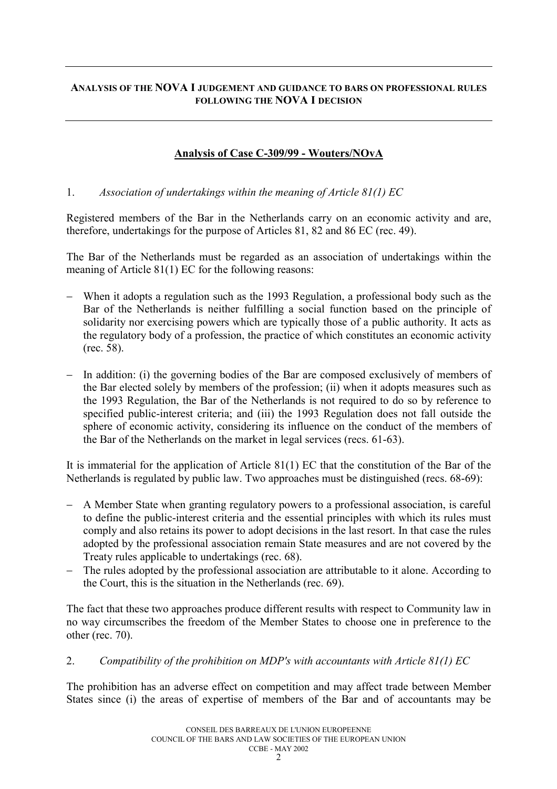### **ANALYSIS OF THE NOVA I JUDGEMENT AND GUIDANCE TO BARS ON PROFESSIONAL RULES FOLLOWING THE NOVA I DECISION**

# **Analysis of Case C-309/99 - Wouters/NOvA**

### 1. *Association of undertakings within the meaning of Article 81(1) EC*

Registered members of the Bar in the Netherlands carry on an economic activity and are, therefore, undertakings for the purpose of Articles 81, 82 and 86 EC (rec. 49).

The Bar of the Netherlands must be regarded as an association of undertakings within the meaning of Article 81(1) EC for the following reasons:

- When it adopts a regulation such as the 1993 Regulation, a professional body such as the Bar of the Netherlands is neither fulfilling a social function based on the principle of solidarity nor exercising powers which are typically those of a public authority. It acts as the regulatory body of a profession, the practice of which constitutes an economic activity (rec. 58).
- In addition: (i) the governing bodies of the Bar are composed exclusively of members of the Bar elected solely by members of the profession; (ii) when it adopts measures such as the 1993 Regulation, the Bar of the Netherlands is not required to do so by reference to specified public-interest criteria; and (iii) the 1993 Regulation does not fall outside the sphere of economic activity, considering its influence on the conduct of the members of the Bar of the Netherlands on the market in legal services (recs. 61-63).

It is immaterial for the application of Article 81(1) EC that the constitution of the Bar of the Netherlands is regulated by public law. Two approaches must be distinguished (recs. 68-69):

- A Member State when granting regulatory powers to a professional association, is careful to define the public-interest criteria and the essential principles with which its rules must comply and also retains its power to adopt decisions in the last resort. In that case the rules adopted by the professional association remain State measures and are not covered by the Treaty rules applicable to undertakings (rec. 68).
- The rules adopted by the professional association are attributable to it alone. According to the Court, this is the situation in the Netherlands (rec. 69).

The fact that these two approaches produce different results with respect to Community law in no way circumscribes the freedom of the Member States to choose one in preference to the other (rec. 70).

#### 2. *Compatibility of the prohibition on MDP's with accountants with Article 81(1) EC*

The prohibition has an adverse effect on competition and may affect trade between Member States since (i) the areas of expertise of members of the Bar and of accountants may be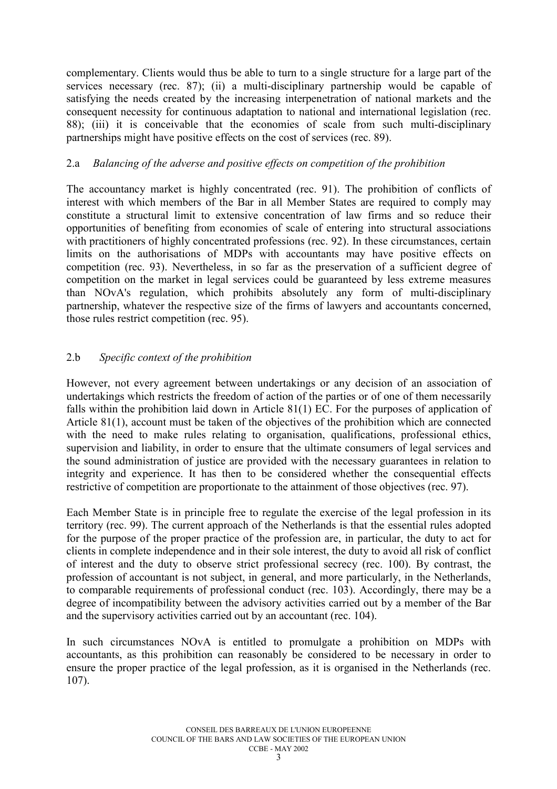complementary. Clients would thus be able to turn to a single structure for a large part of the services necessary (rec. 87); (ii) a multi-disciplinary partnership would be capable of satisfying the needs created by the increasing interpenetration of national markets and the consequent necessity for continuous adaptation to national and international legislation (rec. 88); (iii) it is conceivable that the economies of scale from such multi-disciplinary partnerships might have positive effects on the cost of services (rec. 89).

# 2.a *Balancing of the adverse and positive effects on competition of the prohibition*

The accountancy market is highly concentrated (rec. 91). The prohibition of conflicts of interest with which members of the Bar in all Member States are required to comply may constitute a structural limit to extensive concentration of law firms and so reduce their opportunities of benefiting from economies of scale of entering into structural associations with practitioners of highly concentrated professions (rec. 92). In these circumstances, certain limits on the authorisations of MDPs with accountants may have positive effects on competition (rec. 93). Nevertheless, in so far as the preservation of a sufficient degree of competition on the market in legal services could be guaranteed by less extreme measures than NOvA's regulation, which prohibits absolutely any form of multi-disciplinary partnership, whatever the respective size of the firms of lawyers and accountants concerned, those rules restrict competition (rec. 95).

# 2.b *Specific context of the prohibition*

However, not every agreement between undertakings or any decision of an association of undertakings which restricts the freedom of action of the parties or of one of them necessarily falls within the prohibition laid down in Article 81(1) EC. For the purposes of application of Article 81(1), account must be taken of the objectives of the prohibition which are connected with the need to make rules relating to organisation, qualifications, professional ethics, supervision and liability, in order to ensure that the ultimate consumers of legal services and the sound administration of justice are provided with the necessary guarantees in relation to integrity and experience. It has then to be considered whether the consequential effects restrictive of competition are proportionate to the attainment of those objectives (rec. 97).

Each Member State is in principle free to regulate the exercise of the legal profession in its territory (rec. 99). The current approach of the Netherlands is that the essential rules adopted for the purpose of the proper practice of the profession are, in particular, the duty to act for clients in complete independence and in their sole interest, the duty to avoid all risk of conflict of interest and the duty to observe strict professional secrecy (rec. 100). By contrast, the profession of accountant is not subject, in general, and more particularly, in the Netherlands, to comparable requirements of professional conduct (rec. 103). Accordingly, there may be a degree of incompatibility between the advisory activities carried out by a member of the Bar and the supervisory activities carried out by an accountant (rec. 104).

In such circumstances NOvA is entitled to promulgate a prohibition on MDPs with accountants, as this prohibition can reasonably be considered to be necessary in order to ensure the proper practice of the legal profession, as it is organised in the Netherlands (rec. 107).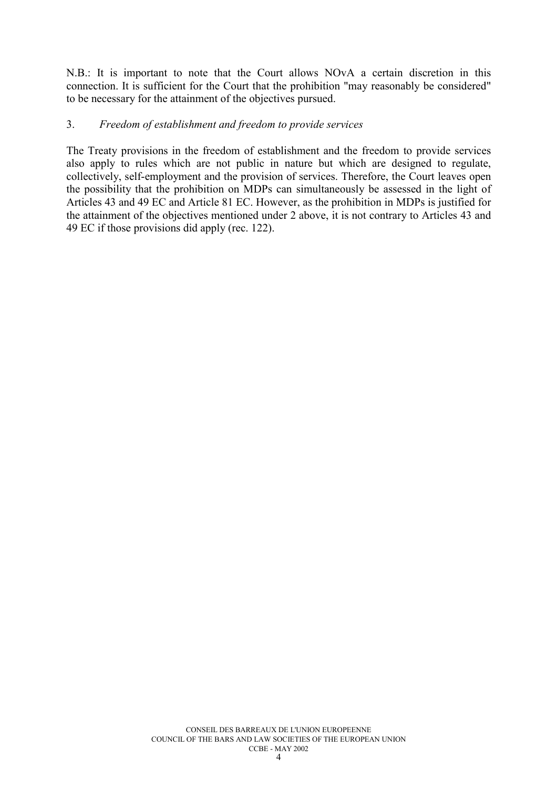N.B.: It is important to note that the Court allows NOvA a certain discretion in this connection. It is sufficient for the Court that the prohibition "may reasonably be considered" to be necessary for the attainment of the objectives pursued.

### 3. *Freedom of establishment and freedom to provide services*

The Treaty provisions in the freedom of establishment and the freedom to provide services also apply to rules which are not public in nature but which are designed to regulate, collectively, self-employment and the provision of services. Therefore, the Court leaves open the possibility that the prohibition on MDPs can simultaneously be assessed in the light of Articles 43 and 49 EC and Article 81 EC. However, as the prohibition in MDPs is justified for the attainment of the objectives mentioned under 2 above, it is not contrary to Articles 43 and 49 EC if those provisions did apply (rec. 122).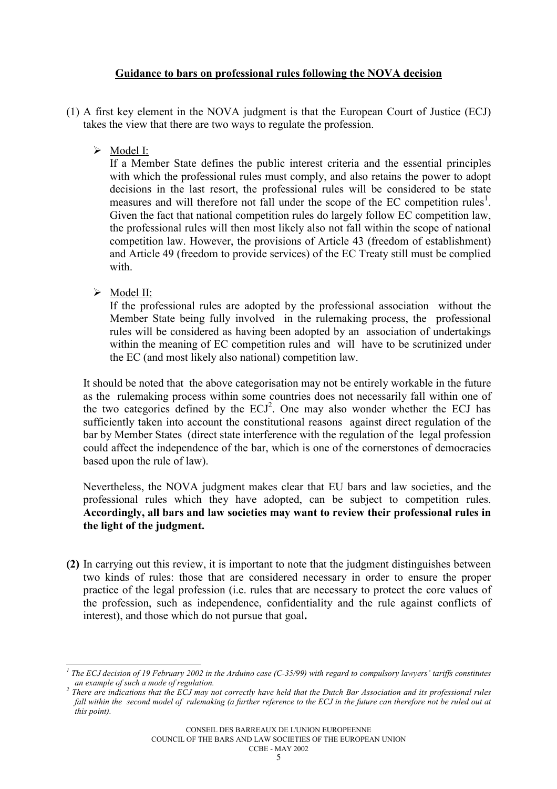# **Guidance to bars on professional rules following the NOVA decision**

- (1) A first key element in the NOVA judgment is that the European Court of Justice (ECJ) takes the view that there are two ways to regulate the profession.
	- $\triangleright$  Model I:

If a Member State defines the public interest criteria and the essential principles with which the professional rules must comply, and also retains the power to adopt decisions in the last resort, the professional rules will be considered to be state measures and will therefore not fall under the scope of the EC competition rules<sup>[1](#page-4-0)</sup>. Given the fact that national competition rules do largely follow EC competition law, the professional rules will then most likely also not fall within the scope of national competition law. However, the provisions of Article 43 (freedom of establishment) and Article 49 (freedom to provide services) of the EC Treaty still must be complied with

 $\triangleright$  Model II:

If the professional rules are adopted by the professional association without the Member State being fully involved in the rulemaking process, the professional rules will be considered as having been adopted by an association of undertakings within the meaning of EC competition rules and will have to be scrutinized under the EC (and most likely also national) competition law.

It should be noted that the above categorisation may not be entirely workable in the future as the rulemaking process within some countries does not necessarily fall within one of the two categories defined by the  $ECJ<sup>2</sup>$ . One may also wonder whether the ECJ has sufficiently taken into account the constitutional reasons against direct regulation of the bar by Member States (direct state interference with the regulation of the legal profession could affect the independence of the bar, which is one of the cornerstones of democracies based upon the rule of law).

Nevertheless, the NOVA judgment makes clear that EU bars and law societies, and the professional rules which they have adopted, can be subject to competition rules. **Accordingly, all bars and law societies may want to review their professional rules in the light of the judgment.**

**(2)** In carrying out this review, it is important to note that the judgment distinguishes between two kinds of rules: those that are considered necessary in order to ensure the proper practice of the legal profession (i.e. rules that are necessary to protect the core values of the profession, such as independence, confidentiality and the rule against conflicts of interest), and those which do not pursue that goal**.** 

CONSEIL DES BARREAUX DE L'UNION EUROPEENNE

COUNCIL OF THE BARS AND LAW SOCIETIES OF THE EUROPEAN UNION

#### CCBE - MAY 2002

<span id="page-4-0"></span> $\overline{\phantom{a}}$ *<sup>1</sup> The ECJ decision of 19 February 2002 in the Arduino case (C-35/99) with regard to compulsory lawyers' tariffs constitutes an example of such a mode of regulation. <sup>2</sup> There are indications that the ECJ may not correctly have held that the Dutch Bar Association and its professional rules*

<span id="page-4-1"></span>*fall within the second model of rulemaking (a further reference to the ECJ in the future can therefore not be ruled out at this point).*